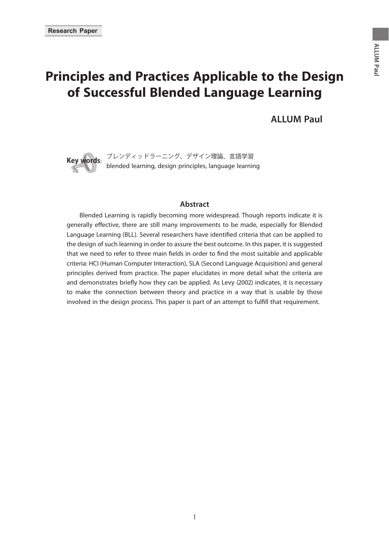# **Principles and Practices Applicable to the Design of Successful Blended Language Learning**

 **ALLUM Paul**



### **Abstract**

 Blended Learning is rapidly becoming more widespread. Though reports indicate it is generally effective, there are still many improvements to be made, especially for Blended Language Learning (BLL). Several researchers have identified criteria that can be applied to the design of such learning in order to assure the best outcome. In this paper, it is suggested that we need to refer to three main fields in order to find the most suitable and applicable criteria: HCI (Human Computer Interaction), SLA (Second Language Acquisition) and general principles derived from practice. The paper elucidates in more detail what the criteria are and demonstrates briefly how they can be applied. As Levy (2002) indicates, it is necessary to make the connection between theory and practice in a way that is usable by those involved in the design process. This paper is part of an attempt to fulfill that requirement.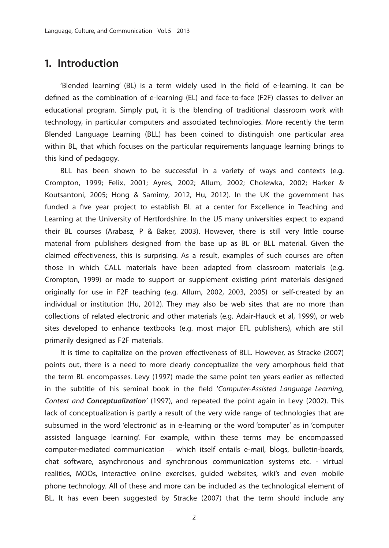# **1. Introduction**

'Blended learning' (BL) is a term widely used in the field of e-learning. It can be defined as the combination of e-learning (EL) and face-to-face (F2F) classes to deliver an educational program. Simply put, it is the blending of traditional classroom work with technology, in particular computers and associated technologies. More recently the term Blended Language Learning (BLL) has been coined to distinguish one particular area within BL, that which focuses on the particular requirements language learning brings to this kind of pedagogy.

 BLL has been shown to be successful in a variety of ways and contexts (e.g. Crompton, 1999; Felix, 2001; Ayres, 2002; Allum, 2002; Cholewka, 2002; Harker & Koutsantoni, 2005; Hong & Samimy, 2012, Hu, 2012). In the UK the government has funded a five year project to establish BL at a center for Excellence in Teaching and Learning at the University of Hertfordshire. In the US many universities expect to expand their BL courses (Arabasz, P & Baker, 2003). However, there is still very little course material from publishers designed from the base up as BL or BLL material. Given the claimed effectiveness, this is surprising. As a result, examples of such courses are often those in which CALL materials have been adapted from classroom materials (e.g. Crompton, 1999) or made to support or supplement existing print materials designed originally for use in F2F teaching (e.g. Allum, 2002, 2003, 2005) or self-created by an individual or institution (Hu, 2012). They may also be web sites that are no more than collections of related electronic and other materials (e.g. Adair-Hauck et al, 1999), or web sites developed to enhance textbooks (e.g. most major EFL publishers), which are still primarily designed as F2F materials.

It is time to capitalize on the proven effectiveness of BLL. However, as Stracke (2007) points out, there is a need to more clearly conceptualize the very amorphous field that the term BL encompasses. Levy (1997) made the same point ten years earlier as reflected in the subtitle of his seminal book in the field 'Computer-Assisted Language Learning, Context and *Conceptualization*' (1997), and repeated the point again in Levy (2002). This lack of conceptualization is partly a result of the very wide range of technologies that are subsumed in the word 'electronic' as in e-learning or the word 'computer' as in 'computer assisted language learning'. For example, within these terms may be encompassed computer-mediated communication – which itself entails e-mail, blogs, bulletin-boards, chat software, asynchronous and synchronous communication systems etc. - virtual realities, MOOs, interactive online exercises, guided websites, wiki's and even mobile phone technology. All of these and more can be included as the technological element of BL. It has even been suggested by Stracke (2007) that the term should include any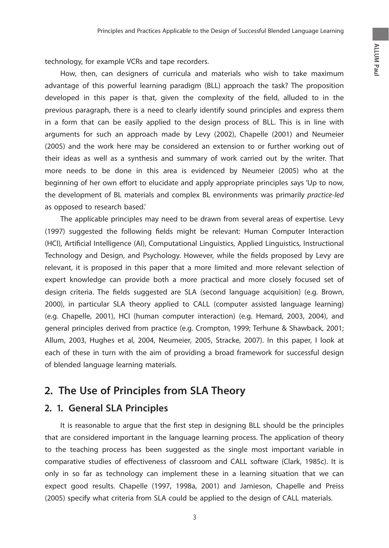technology, for example VCRs and tape recorders.

 How, then, can designers of curricula and materials who wish to take maximum advantage of this powerful learning paradigm (BLL) approach the task? The proposition developed in this paper is that, given the complexity of the field, alluded to in the previous paragraph, there is a need to clearly identify sound principles and express them in a form that can be easily applied to the design process of BLL. This is in line with arguments for such an approach made by Levy (2002), Chapelle (2001) and Neumeier (2005) and the work here may be considered an extension to or further working out of their ideas as well as a synthesis and summary of work carried out by the writer. That more needs to be done in this area is evidenced by Neumeier (2005) who at the beginning of her own effort to elucidate and apply appropriate principles says 'Up to now, the development of BL materials and complex BL environments was primarily practice-led as opposed to research based.'

 The applicable principles may need to be drawn from several areas of expertise. Levy (1997) suggested the following fields might be relevant: Human Computer Interaction (HCI), Artificial Intelligence (AI), Computational Linguistics, Applied Linguistics, Instructional Technology and Design, and Psychology. However, while the fields proposed by Levy are relevant, it is proposed in this paper that a more limited and more relevant selection of expert knowledge can provide both a more practical and more closely focused set of design criteria. The fields suggested are SLA (second language acquisition) (e.g. Brown, 2000), in particular SLA theory applied to CALL (computer assisted language learning) (e.g. Chapelle, 2001), HCI (human computer interaction) (e.g. Hemard, 2003, 2004), and general principles derived from practice (e.g. Crompton, 1999; Terhune & Shawback, 2001; Allum, 2003, Hughes et al, 2004, Neumeier, 2005, Stracke, 2007). In this paper, I look at each of these in turn with the aim of providing a broad framework for successful design of blended language learning materials.

# **2. The Use of Principles from SLA Theory**

# **2. 1. General SLA Principles**

It is reasonable to argue that the first step in designing BLL should be the principles that are considered important in the language learning process. The application of theory to the teaching process has been suggested as the single most important variable in comparative studies of effectiveness of classroom and CALL software (Clark, 1985c). It is only in so far as technology can implement these in a learning situation that we can expect good results. Chapelle (1997, 1998a, 2001) and Jamieson, Chapelle and Preiss (2005) specify what criteria from SLA could be applied to the design of CALL materials.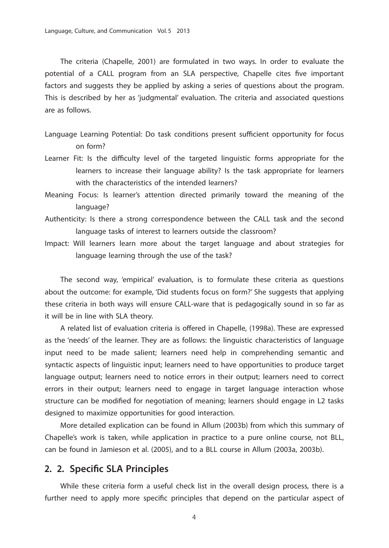The criteria (Chapelle, 2001) are formulated in two ways. In order to evaluate the potential of a CALL program from an SLA perspective, Chapelle cites five important factors and suggests they be applied by asking a series of questions about the program. This is described by her as 'judgmental' evaluation. The criteria and associated questions are as follows.

- Language Learning Potential: Do task conditions present sufficient opportunity for focus on form?
- Learner Fit: Is the difficulty level of the targeted linguistic forms appropriate for the learners to increase their language ability? Is the task appropriate for learners with the characteristics of the intended learners?
- Meaning Focus: Is learner's attention directed primarily toward the meaning of the language?
- Authenticity: Is there a strong correspondence between the CALL task and the second language tasks of interest to learners outside the classroom?
- Impact: Will learners learn more about the target language and about strategies for language learning through the use of the task?

 The second way, 'empirical' evaluation, is to formulate these criteria as questions about the outcome: for example, 'Did students focus on form?' She suggests that applying these criteria in both ways will ensure CALL-ware that is pedagogically sound in so far as it will be in line with SLA theory.

A related list of evaluation criteria is offered in Chapelle, (1998a). These are expressed as the 'needs' of the learner. They are as follows: the linguistic characteristics of language input need to be made salient; learners need help in comprehending semantic and syntactic aspects of linguistic input; learners need to have opportunities to produce target language output; learners need to notice errors in their output; learners need to correct errors in their output; learners need to engage in target language interaction whose structure can be modified for negotiation of meaning; learners should engage in L2 tasks designed to maximize opportunities for good interaction.

 More detailed explication can be found in Allum (2003b) from which this summary of Chapelle's work is taken, while application in practice to a pure online course, not BLL, can be found in Jamieson et al. (2005), and to a BLL course in Allum (2003a, 2003b).

#### **2. 2. Specific SLA Principles**

 While these criteria form a useful check list in the overall design process, there is a further need to apply more specific principles that depend on the particular aspect of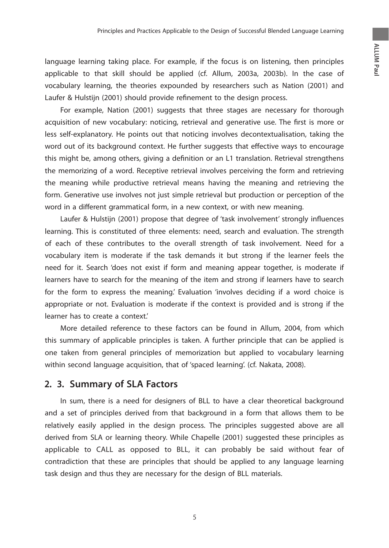language learning taking place. For example, if the focus is on listening, then principles applicable to that skill should be applied (cf. Allum, 2003a, 2003b). In the case of vocabulary learning, the theories expounded by researchers such as Nation (2001) and Laufer & Hulstijn (2001) should provide refinement to the design process.

 For example, Nation (2001) suggests that three stages are necessary for thorough acquisition of new vocabulary: noticing, retrieval and generative use. The first is more or less self-explanatory. He points out that noticing involves decontextualisation, taking the word out of its background context. He further suggests that effective ways to encourage this might be, among others, giving a definition or an L1 translation. Retrieval strengthens the memorizing of a word. Receptive retrieval involves perceiving the form and retrieving the meaning while productive retrieval means having the meaning and retrieving the form. Generative use involves not just simple retrieval but production or perception of the word in a different grammatical form, in a new context, or with new meaning.

Laufer & Hulstijn (2001) propose that degree of 'task involvement' strongly influences learning. This is constituted of three elements: need, search and evaluation. The strength of each of these contributes to the overall strength of task involvement. Need for a vocabulary item is moderate if the task demands it but strong if the learner feels the need for it. Search 'does not exist if form and meaning appear together, is moderate if learners have to search for the meaning of the item and strong if learners have to search for the form to express the meaning.' Evaluation 'involves deciding if a word choice is appropriate or not. Evaluation is moderate if the context is provided and is strong if the learner has to create a context.'

 More detailed reference to these factors can be found in Allum, 2004, from which this summary of applicable principles is taken. A further principle that can be applied is one taken from general principles of memorization but applied to vocabulary learning within second language acquisition, that of 'spaced learning'. (cf. Nakata, 2008).

# **2. 3. Summary of SLA Factors**

 In sum, there is a need for designers of BLL to have a clear theoretical background and a set of principles derived from that background in a form that allows them to be relatively easily applied in the design process. The principles suggested above are all derived from SLA or learning theory. While Chapelle (2001) suggested these principles as applicable to CALL as opposed to BLL, it can probably be said without fear of contradiction that these are principles that should be applied to any language learning task design and thus they are necessary for the design of BLL materials.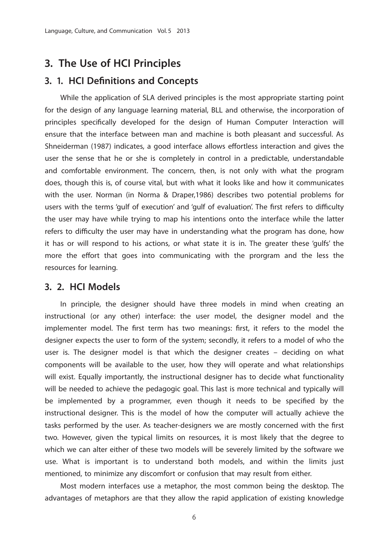# **3. The Use of HCI Principles**

### **3. 1. HCI Definitions and Concepts**

 While the application of SLA derived principles is the most appropriate starting point for the design of any language learning material, BLL and otherwise, the incorporation of principles specifically developed for the design of Human Computer Interaction will ensure that the interface between man and machine is both pleasant and successful. As Shneiderman (1987) indicates, a good interface allows effortless interaction and gives the user the sense that he or she is completely in control in a predictable, understandable and comfortable environment. The concern, then, is not only with what the program does, though this is, of course vital, but with what it looks like and how it communicates with the user. Norman (in Norma & Draper,1986) describes two potential problems for users with the terms 'gulf of execution' and 'gulf of evaluation'. The first refers to difficulty the user may have while trying to map his intentions onto the interface while the latter refers to difficulty the user may have in understanding what the program has done, how it has or will respond to his actions, or what state it is in. The greater these 'gulfs' the more the effort that goes into communicating with the prorgram and the less the resources for learning.

### **3. 2. HCI Models**

 In principle, the designer should have three models in mind when creating an instructional (or any other) interface: the user model, the designer model and the implementer model. The first term has two meanings: first, it refers to the model the designer expects the user to form of the system; secondly, it refers to a model of who the user is. The designer model is that which the designer creates – deciding on what components will be available to the user, how they will operate and what relationships will exist. Equally importantly, the instructional designer has to decide what functionality will be needed to achieve the pedagogic goal. This last is more technical and typically will be implemented by a programmer, even though it needs to be specified by the instructional designer. This is the model of how the computer will actually achieve the tasks performed by the user. As teacher-designers we are mostly concerned with the first two. However, given the typical limits on resources, it is most likely that the degree to which we can alter either of these two models will be severely limited by the software we use. What is important is to understand both models, and within the limits just mentioned, to minimize any discomfort or confusion that may result from either.

 Most modern interfaces use a metaphor, the most common being the desktop. The advantages of metaphors are that they allow the rapid application of existing knowledge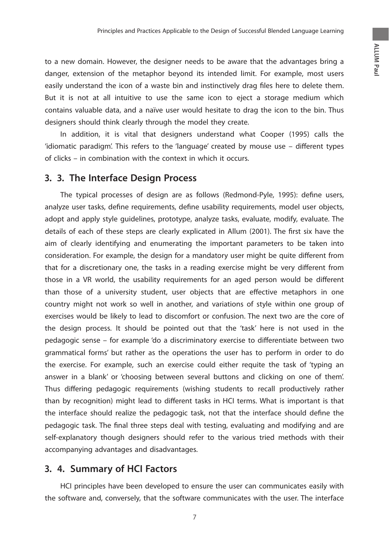to a new domain. However, the designer needs to be aware that the advantages bring a danger, extension of the metaphor beyond its intended limit. For example, most users easily understand the icon of a waste bin and instinctively drag files here to delete them. But it is not at all intuitive to use the same icon to eject a storage medium which contains valuable data, and a naïve user would hesitate to drag the icon to the bin. Thus designers should think clearly through the model they create.

 In addition, it is vital that designers understand what Cooper (1995) calls the 'idiomatic paradigm'. This refers to the 'language' created by mouse use - different types of clicks – in combination with the context in which it occurs.

# **3. 3. The Interface Design Process**

The typical processes of design are as follows (Redmond-Pyle, 1995): define users, analyze user tasks, define requirements, define usability requirements, model user objects, adopt and apply style guidelines, prototype, analyze tasks, evaluate, modify, evaluate. The details of each of these steps are clearly explicated in Allum (2001). The first six have the aim of clearly identifying and enumerating the important parameters to be taken into consideration. For example, the design for a mandatory user might be quite different from that for a discretionary one, the tasks in a reading exercise might be very different from those in a VR world, the usability requirements for an aged person would be different than those of a university student, user objects that are effective metaphors in one country might not work so well in another, and variations of style within one group of exercises would be likely to lead to discomfort or confusion. The next two are the core of the design process. It should be pointed out that the 'task' here is not used in the pedagogic sense – for example 'do a discriminatory exercise to differentiate between two grammatical forms' but rather as the operations the user has to perform in order to do the exercise. For example, such an exercise could either requite the task of 'typing an answer in a blank' or 'choosing between several buttons and clicking on one of them'. Thus differing pedagogic requirements (wishing students to recall productively rather than by recognition) might lead to different tasks in HCI terms. What is important is that the interface should realize the pedagogic task, not that the interface should define the pedagogic task. The final three steps deal with testing, evaluating and modifying and are self-explanatory though designers should refer to the various tried methods with their accompanying advantages and disadvantages.

## **3. 4. Summary of HCI Factors**

 HCI principles have been developed to ensure the user can communicates easily with the software and, conversely, that the software communicates with the user. The interface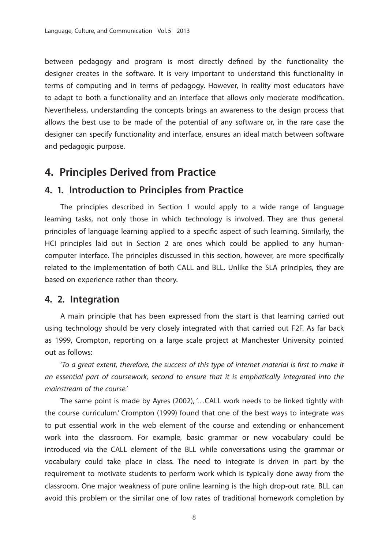between pedagogy and program is most directly defined by the functionality the designer creates in the software. It is very important to understand this functionality in terms of computing and in terms of pedagogy. However, in reality most educators have to adapt to both a functionality and an interface that allows only moderate modification. Nevertheless, understanding the concepts brings an awareness to the design process that allows the best use to be made of the potential of any software or, in the rare case the designer can specify functionality and interface, ensures an ideal match between software and pedagogic purpose.

# **4. Principles Derived from Practice**

### **4. 1. Introduction to Principles from Practice**

 The principles described in Section 1 would apply to a wide range of language learning tasks, not only those in which technology is involved. They are thus general principles of language learning applied to a specific aspect of such learning. Similarly, the HCI principles laid out in Section 2 are ones which could be applied to any humancomputer interface. The principles discussed in this section, however, are more specifically related to the implementation of both CALL and BLL. Unlike the SLA principles, they are based on experience rather than theory.

### **4. 2. Integration**

 A main principle that has been expressed from the start is that learning carried out using technology should be very closely integrated with that carried out F2F. As far back as 1999, Crompton, reporting on a large scale project at Manchester University pointed out as follows:

'To a great extent, therefore, the success of this type of internet material is first to make it an essential part of coursework, second to ensure that it is emphatically integrated into the mainstream of the course.'

 The same point is made by Ayres (2002), '…CALL work needs to be linked tightly with the course curriculum.' Crompton (1999) found that one of the best ways to integrate was to put essential work in the web element of the course and extending or enhancement work into the classroom. For example, basic grammar or new vocabulary could be introduced via the CALL element of the BLL while conversations using the grammar or vocabulary could take place in class. The need to integrate is driven in part by the requirement to motivate students to perform work which is typically done away from the classroom. One major weakness of pure online learning is the high drop-out rate. BLL can avoid this problem or the similar one of low rates of traditional homework completion by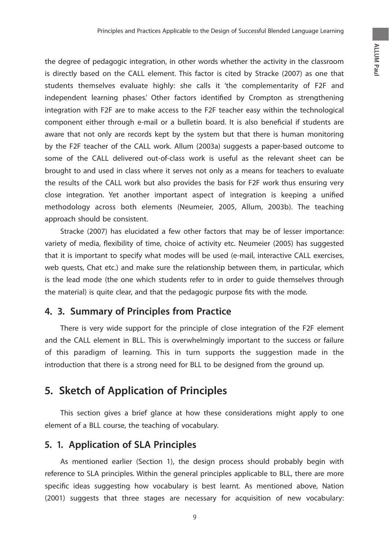the degree of pedagogic integration, in other words whether the activity in the classroom is directly based on the CALL element. This factor is cited by Stracke (2007) as one that students themselves evaluate highly: she calls it 'the complementarity of F2F and independent learning phases.' Other factors identified by Crompton as strengthening integration with F2F are to make access to the F2F teacher easy within the technological component either through e-mail or a bulletin board. It is also beneficial if students are aware that not only are records kept by the system but that there is human monitoring by the F2F teacher of the CALL work. Allum (2003a) suggests a paper-based outcome to some of the CALL delivered out-of-class work is useful as the relevant sheet can be brought to and used in class where it serves not only as a means for teachers to evaluate the results of the CALL work but also provides the basis for F2F work thus ensuring very close integration. Yet another important aspect of integration is keeping a unified methodology across both elements (Neumeier, 2005, Allum, 2003b). The teaching approach should be consistent.

 Stracke (2007) has elucidated a few other factors that may be of lesser importance: variety of media, flexibility of time, choice of activity etc. Neumeier (2005) has suggested that it is important to specify what modes will be used (e-mail, interactive CALL exercises, web quests, Chat etc.) and make sure the relationship between them, in particular, which is the lead mode (the one which students refer to in order to guide themselves through the material) is quite clear, and that the pedagogic purpose fits with the mode.

# **4. 3. Summary of Principles from Practice**

 There is very wide support for the principle of close integration of the F2F element and the CALL element in BLL. This is overwhelmingly important to the success or failure of this paradigm of learning. This in turn supports the suggestion made in the introduction that there is a strong need for BLL to be designed from the ground up.

# **5. Sketch of Application of Principles**

 This section gives a brief glance at how these considerations might apply to one element of a BLL course, the teaching of vocabulary.

# **5. 1. Application of SLA Principles**

 As mentioned earlier (Section 1), the design process should probably begin with reference to SLA principles. Within the general principles applicable to BLL, there are more specific ideas suggesting how vocabulary is best learnt. As mentioned above, Nation (2001) suggests that three stages are necessary for acquisition of new vocabulary: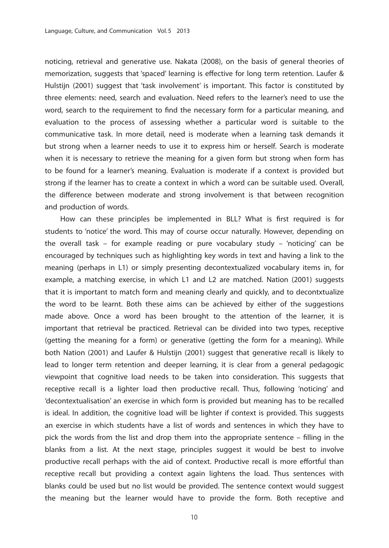noticing, retrieval and generative use. Nakata (2008), on the basis of general theories of memorization, suggests that 'spaced' learning is effective for long term retention. Laufer & Hulstijn (2001) suggest that 'task involvement' is important. This factor is constituted by three elements: need, search and evaluation. Need refers to the learner's need to use the word, search to the requirement to find the necessary form for a particular meaning, and evaluation to the process of assessing whether a particular word is suitable to the communicative task. In more detail, need is moderate when a learning task demands it but strong when a learner needs to use it to express him or herself. Search is moderate when it is necessary to retrieve the meaning for a given form but strong when form has to be found for a learner's meaning. Evaluation is moderate if a context is provided but strong if the learner has to create a context in which a word can be suitable used. Overall, the difference between moderate and strong involvement is that between recognition and production of words.

How can these principles be implemented in BLL? What is first required is for students to 'notice' the word. This may of course occur naturally. However, depending on the overall task – for example reading or pure vocabulary study – 'noticing' can be encouraged by techniques such as highlighting key words in text and having a link to the meaning (perhaps in L1) or simply presenting decontextualized vocabulary items in, for example, a matching exercise, in which L1 and L2 are matched. Nation (2001) suggests that it is important to match form and meaning clearly and quickly, and to decontxtualize the word to be learnt. Both these aims can be achieved by either of the suggestions made above. Once a word has been brought to the attention of the learner, it is important that retrieval be practiced. Retrieval can be divided into two types, receptive (getting the meaning for a form) or generative (getting the form for a meaning). While both Nation (2001) and Laufer & Hulstijn (2001) suggest that generative recall is likely to lead to longer term retention and deeper learning, it is clear from a general pedagogic viewpoint that cognitive load needs to be taken into consideration. This suggests that receptive recall is a lighter load then productive recall. Thus, following 'noticing' and 'decontextualisation' an exercise in which form is provided but meaning has to be recalled is ideal. In addition, the cognitive load will be lighter if context is provided. This suggests an exercise in which students have a list of words and sentences in which they have to pick the words from the list and drop them into the appropriate sentence – filling in the blanks from a list. At the next stage, principles suggest it would be best to involve productive recall perhaps with the aid of context. Productive recall is more effortful than receptive recall but providing a context again lightens the load. Thus sentences with blanks could be used but no list would be provided. The sentence context would suggest the meaning but the learner would have to provide the form. Both receptive and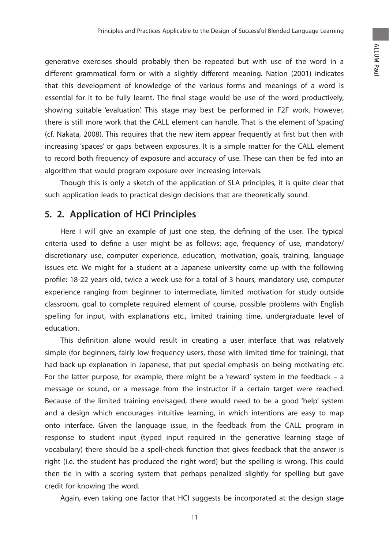generative exercises should probably then be repeated but with use of the word in a different grammatical form or with a slightly different meaning. Nation (2001) indicates that this development of knowledge of the various forms and meanings of a word is essential for it to be fully learnt. The final stage would be use of the word productively, showing suitable 'evaluation'. This stage may best be performed in F2F work. However, there is still more work that the CALL element can handle. That is the element of 'spacing' (cf. Nakata, 2008). This requires that the new item appear frequently at first but then with increasing 'spaces' or gaps between exposures. It is a simple matter for the CALL element to record both frequency of exposure and accuracy of use. These can then be fed into an algorithm that would program exposure over increasing intervals.

 Though this is only a sketch of the application of SLA principles, it is quite clear that such application leads to practical design decisions that are theoretically sound.

# **5. 2. Application of HCI Principles**

Here I will give an example of just one step, the defining of the user. The typical criteria used to define a user might be as follows: age, frequency of use, mandatory/ discretionary use, computer experience, education, motivation, goals, training, language issues etc. We might for a student at a Japanese university come up with the following profile: 18-22 years old, twice a week use for a total of 3 hours, mandatory use, computer experience ranging from beginner to intermediate, limited motivation for study outside classroom, goal to complete required element of course, possible problems with English spelling for input, with explanations etc., limited training time, undergraduate level of education.

This definition alone would result in creating a user interface that was relatively simple (for beginners, fairly low frequency users, those with limited time for training), that had back-up explanation in Japanese, that put special emphasis on being motivating etc. For the latter purpose, for example, there might be a 'reward' system in the feedback – a message or sound, or a message from the instructor if a certain target were reached. Because of the limited training envisaged, there would need to be a good 'help' system and a design which encourages intuitive learning, in which intentions are easy to map onto interface. Given the language issue, in the feedback from the CALL program in response to student input (typed input required in the generative learning stage of vocabulary) there should be a spell-check function that gives feedback that the answer is right (i.e. the student has produced the right word) but the spelling is wrong. This could then tie in with a scoring system that perhaps penalized slightly for spelling but gave credit for knowing the word.

Again, even taking one factor that HCI suggests be incorporated at the design stage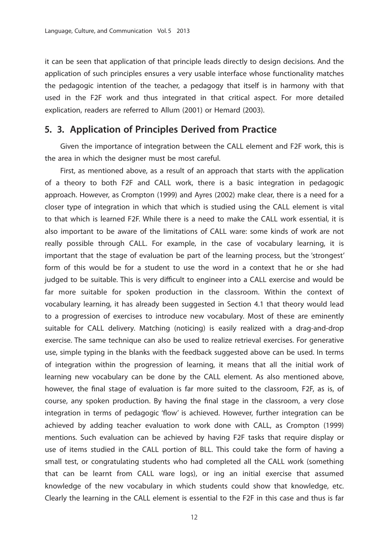it can be seen that application of that principle leads directly to design decisions. And the application of such principles ensures a very usable interface whose functionality matches the pedagogic intention of the teacher, a pedagogy that itself is in harmony with that used in the F2F work and thus integrated in that critical aspect. For more detailed explication, readers are referred to Allum (2001) or Hemard (2003).

### **5. 3. Application of Principles Derived from Practice**

 Given the importance of integration between the CALL element and F2F work, this is the area in which the designer must be most careful.

 First, as mentioned above, as a result of an approach that starts with the application of a theory to both F2F and CALL work, there is a basic integration in pedagogic approach. However, as Crompton (1999) and Ayres (2002) make clear, there is a need for a closer type of integration in which that which is studied using the CALL element is vital to that which is learned F2F. While there is a need to make the CALL work essential, it is also important to be aware of the limitations of CALL ware: some kinds of work are not really possible through CALL. For example, in the case of vocabulary learning, it is important that the stage of evaluation be part of the learning process, but the 'strongest' form of this would be for a student to use the word in a context that he or she had judged to be suitable. This is very difficult to engineer into a CALL exercise and would be far more suitable for spoken production in the classroom. Within the context of vocabulary learning, it has already been suggested in Section 4.1 that theory would lead to a progression of exercises to introduce new vocabulary. Most of these are eminently suitable for CALL delivery. Matching (noticing) is easily realized with a drag-and-drop exercise. The same technique can also be used to realize retrieval exercises. For generative use, simple typing in the blanks with the feedback suggested above can be used. In terms of integration within the progression of learning, it means that all the initial work of learning new vocabulary can be done by the CALL element. As also mentioned above, however, the final stage of evaluation is far more suited to the classroom, F2F, as is, of course, any spoken production. By having the final stage in the classroom, a very close integration in terms of pedagogic 'flow' is achieved. However, further integration can be achieved by adding teacher evaluation to work done with CALL, as Crompton (1999) mentions. Such evaluation can be achieved by having F2F tasks that require display or use of items studied in the CALL portion of BLL. This could take the form of having a small test, or congratulating students who had completed all the CALL work (something that can be learnt from CALL ware logs), or ing an initial exercise that assumed knowledge of the new vocabulary in which students could show that knowledge, etc. Clearly the learning in the CALL element is essential to the F2F in this case and thus is far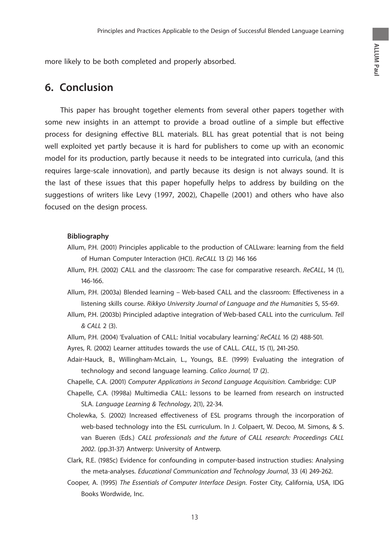more likely to be both completed and properly absorbed.

# **6. Conclusion**

 This paper has brought together elements from several other papers together with some new insights in an attempt to provide a broad outline of a simple but effective process for designing effective BLL materials. BLL has great potential that is not being well exploited yet partly because it is hard for publishers to come up with an economic model for its production, partly because it needs to be integrated into curricula, (and this requires large-scale innovation), and partly because its design is not always sound. It is the last of these issues that this paper hopefully helps to address by building on the suggestions of writers like Levy (1997, 2002), Chapelle (2001) and others who have also focused on the design process.

#### **Bibliography**

- Allum, P.H. (2001) Principles applicable to the production of CALLware: learning from the field of Human Computer Interaction (HCI). ReCALL 13 (2) 146 166
- Allum, P.H. (2002) CALL and the classroom: The case for comparative research. ReCALL, 14 (1), 146-166.
- Allum, P.H. (2003a) Blended learning Web-based CALL and the classroom: Effectiveness in a listening skills course. Rikkyo University Journal of Language and the Humanities 5, 55-69.
- Allum, P.H. (2003b) Principled adaptive integration of Web-based CALL into the curriculum. Tell & CALL 2 (3).
- Allum, P.H. (2004) 'Evaluation of CALL: Initial vocabulary learning.' ReCALL 16 (2) 488-501.
- Ayres, R. (2002) Learner attitudes towards the use of CALL. CALL, 15 (1), 241-250.
- Adair-Hauck, B., Willingham-McLain, L., Youngs, B.E. (1999) Evaluating the integration of technology and second language learning. Calico Journal, 17 (2).
- Chapelle, C.A. (2001) Computer Applications in Second Language Acquisition. Cambridge: CUP
- Chapelle, C.A. (1998a) Multimedia CALL: lessons to be learned from research on instructed SLA. Language Learning & Technology, 2(1), 22-34.
- Cholewka, S. (2002) Increased effectiveness of ESL programs through the incorporation of web-based technology into the ESL curriculum. In J. Colpaert, W. Decoo, M. Simons, & S. van Bueren (Eds.) CALL professionals and the future of CALL research: Proceedings CALL 2002. (pp.31-37) Antwerp: University of Antwerp.
- Clark, R.E. (1985c) Evidence for confounding in computer-based instruction studies: Analysing the meta-analyses. Educational Communication and Technology Journal, 33 (4) 249-262.
- Cooper, A. (1995) The Essentials of Computer Interface Design. Foster City, California, USA, IDG Books Wordwide, Inc.